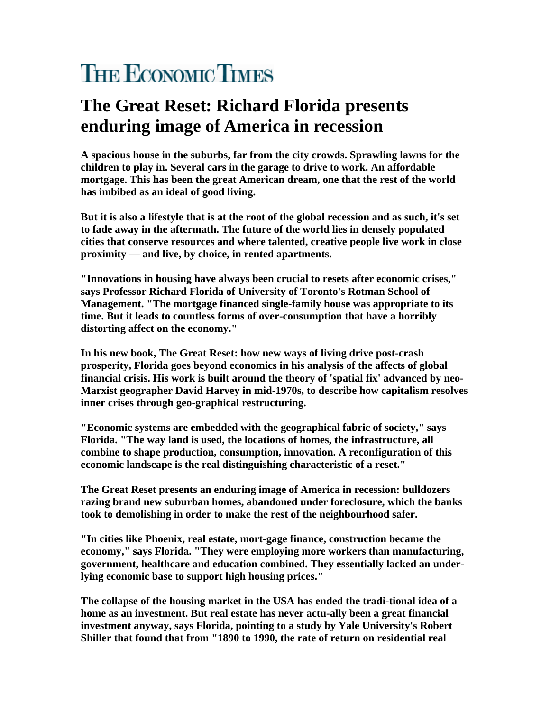## **THE ECONOMIC TIMES**

## **The Great Reset: Richard Florida presents enduring image of America in recession**

**A spacious house in the suburbs, far from the city crowds. Sprawling lawns for the children to play in. Several cars in the garage to drive to work. An affordable mortgage. This has been the great American dream, one that the rest of the world has imbibed as an ideal of good living.** 

**But it is also a lifestyle that is at the root of the global recession and as such, it's set to fade away in the aftermath. The future of the world lies in densely populated cities that conserve resources and where talented, creative people live work in close proximity — and live, by choice, in rented apartments.** 

**"Innovations in housing have always been crucial to resets after economic crises," says Professor Richard Florida of University of Toronto's Rotman School of Management. "The mortgage financed single-family house was appropriate to its time. But it leads to countless forms of over-consumption that have a horribly distorting affect on the economy."** 

**In his new book, The Great Reset: how new ways of living drive post-crash prosperity, Florida goes beyond economics in his analysis of the affects of global financial crisis. His work is built around the theory of 'spatial fix' advanced by neo-Marxist geographer David Harvey in mid-1970s, to describe how capitalism resolves inner crises through geo-graphical restructuring.** 

**"Economic systems are embedded with the geographical fabric of society," says Florida. "The way land is used, the locations of homes, the infrastructure, all combine to shape production, consumption, innovation. A reconfiguration of this economic landscape is the real distinguishing characteristic of a reset."** 

**The Great Reset presents an enduring image of America in recession: bulldozers razing brand new suburban homes, abandoned under foreclosure, which the banks took to demolishing in order to make the rest of the neighbourhood safer.** 

**"In cities like Phoenix, real estate, mort-gage finance, construction became the economy," says Florida. "They were employing more workers than manufacturing, government, healthcare and education combined. They essentially lacked an underlying economic base to support high housing prices."** 

**The collapse of the housing market in the USA has ended the tradi-tional idea of a home as an investment. But real estate has never actu-ally been a great financial investment anyway, says Florida, pointing to a study by Yale University's Robert Shiller that found that from "1890 to 1990, the rate of return on residential real**